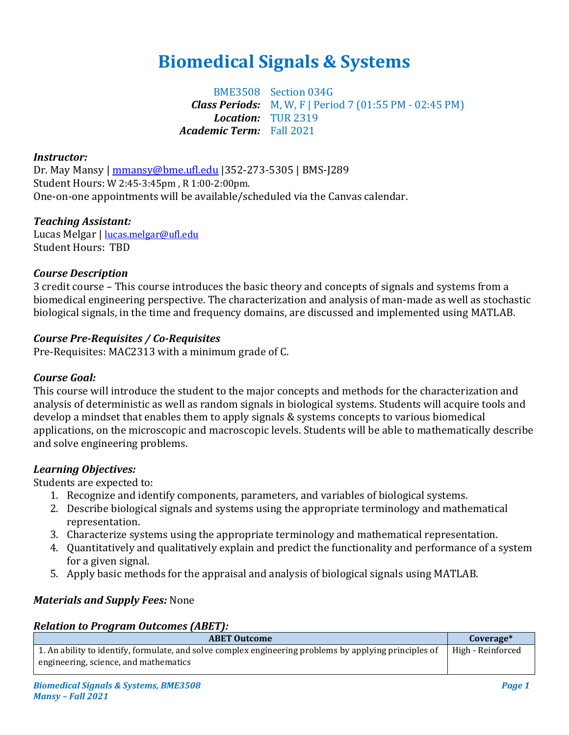# **Biomedical Signals & Systems**

BME3508 Section 034G *Class Periods:* M, W, F | Period 7 (01:55 PM - 02:45 PM) *Location:* TUR 2319 *Academic Term:* Fall 2021

#### *Instructor:*

Dr. May Mansy | [mmansy@bme.ufl.edu](mailto:mmansy@bme.ufl.edu) |352-273-5305 | BMS-J289 Student Hours: W 2:45-3:45pm , R 1:00-2:00pm. One-on-one appointments will be available/scheduled via the Canvas calendar.

## *Teaching Assistant:*

Lucas Melgar | [lucas.melgar@ufl.edu](mailto:lucas.melgar@ufl.edu) Student Hours: TBD

## *Course Description*

3 credit course – This course introduces the basic theory and concepts of signals and systems from a biomedical engineering perspective. The characterization and analysis of man-made as well as stochastic biological signals, in the time and frequency domains, are discussed and implemented using MATLAB.

# *Course Pre-Requisites / Co-Requisites*

Pre-Requisites: MAC2313 with a minimum grade of C.

## *Course Goal:*

This course will introduce the student to the major concepts and methods for the characterization and analysis of deterministic as well as random signals in biological systems. Students will acquire tools and develop a mindset that enables them to apply signals & systems concepts to various biomedical applications, on the microscopic and macroscopic levels. Students will be able to mathematically describe and solve engineering problems.

## *Learning Objectives:*

Students are expected to:

- 1. Recognize and identify components, parameters, and variables of biological systems.
- 2. Describe biological signals and systems using the appropriate terminology and mathematical representation.
- 3. Characterize systems using the appropriate terminology and mathematical representation.
- 4. Quantitatively and qualitatively explain and predict the functionality and performance of a system for a given signal.
- 5. Apply basic methods for the appraisal and analysis of biological signals using MATLAB.

## *Materials and Supply Fees:* None

#### *Relation to Program Outcomes (ABET):*

| <b>ABET Outcome</b>                                                                                    | Coverage*         |
|--------------------------------------------------------------------------------------------------------|-------------------|
| 1. An ability to identify, formulate, and solve complex engineering problems by applying principles of | High - Reinforced |
| engineering, science, and mathematics                                                                  |                   |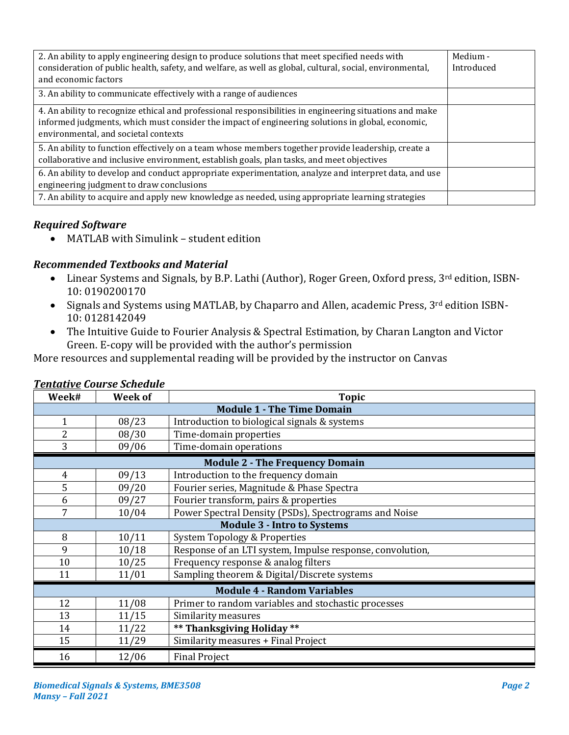| 2. An ability to apply engineering design to produce solutions that meet specified needs with<br>consideration of public health, safety, and welfare, as well as global, cultural, social, environmental,<br>and economic factors                   | Medium -<br>Introduced |
|-----------------------------------------------------------------------------------------------------------------------------------------------------------------------------------------------------------------------------------------------------|------------------------|
| 3. An ability to communicate effectively with a range of audiences                                                                                                                                                                                  |                        |
| 4. An ability to recognize ethical and professional responsibilities in engineering situations and make<br>informed judgments, which must consider the impact of engineering solutions in global, economic,<br>environmental, and societal contexts |                        |
| 5. An ability to function effectively on a team whose members together provide leadership, create a<br>collaborative and inclusive environment, establish goals, plan tasks, and meet objectives                                                    |                        |
| 6. An ability to develop and conduct appropriate experimentation, analyze and interpret data, and use<br>engineering judgment to draw conclusions                                                                                                   |                        |
| 7. An ability to acquire and apply new knowledge as needed, using appropriate learning strategies                                                                                                                                                   |                        |

# *Required Software*

• MATLAB with Simulink – student edition

# *Recommended Textbooks and Material*

- Linear Systems and Signals, by B.P. Lathi (Author), Roger Green, Oxford press, 3<sup>rd</sup> edition, ISBN-10: 0190200170
- Signals and Systems using MATLAB, by Chaparro and Allen, academic Press, 3rd edition ISBN-10: 0128142049
- The Intuitive Guide to Fourier Analysis & Spectral Estimation, by Charan Langton and Victor Green. E-copy will be provided with the author's permission

More resources and supplemental reading will be provided by the instructor on Canvas

| Week#                                                           | <b>Week of</b>                                     | <b>Topic</b>                                              |  |  |  |  |  |
|-----------------------------------------------------------------|----------------------------------------------------|-----------------------------------------------------------|--|--|--|--|--|
| <b>Module 1 - The Time Domain</b>                               |                                                    |                                                           |  |  |  |  |  |
| $\mathbf{1}$                                                    | 08/23                                              | Introduction to biological signals & systems              |  |  |  |  |  |
| $\overline{2}$                                                  | 08/30                                              | Time-domain properties                                    |  |  |  |  |  |
| 3                                                               | 09/06                                              | Time-domain operations                                    |  |  |  |  |  |
| <b>Module 2 - The Frequency Domain</b>                          |                                                    |                                                           |  |  |  |  |  |
| 09/13<br>Introduction to the frequency domain<br>$\overline{4}$ |                                                    |                                                           |  |  |  |  |  |
| 5                                                               | Fourier series, Magnitude & Phase Spectra<br>09/20 |                                                           |  |  |  |  |  |
| 6                                                               | 09/27                                              | Fourier transform, pairs & properties                     |  |  |  |  |  |
| 7                                                               | 10/04                                              | Power Spectral Density (PSDs), Spectrograms and Noise     |  |  |  |  |  |
| <b>Module 3 - Intro to Systems</b>                              |                                                    |                                                           |  |  |  |  |  |
| 8                                                               | 10/11                                              | <b>System Topology &amp; Properties</b>                   |  |  |  |  |  |
| 9                                                               | 10/18                                              | Response of an LTI system, Impulse response, convolution, |  |  |  |  |  |
| 10                                                              | 10/25                                              | Frequency response & analog filters                       |  |  |  |  |  |
| 11                                                              | 11/01                                              | Sampling theorem & Digital/Discrete systems               |  |  |  |  |  |
| <b>Module 4 - Random Variables</b>                              |                                                    |                                                           |  |  |  |  |  |
| 12                                                              | 11/08                                              | Primer to random variables and stochastic processes       |  |  |  |  |  |
| 13                                                              | 11/15                                              | Similarity measures                                       |  |  |  |  |  |
| 14                                                              | 11/22                                              | ** Thanksgiving Holiday **                                |  |  |  |  |  |
| 15                                                              | 11/29                                              | Similarity measures + Final Project                       |  |  |  |  |  |
| 16                                                              | 12/06                                              | <b>Final Project</b>                                      |  |  |  |  |  |

# *Tentative Course Schedule*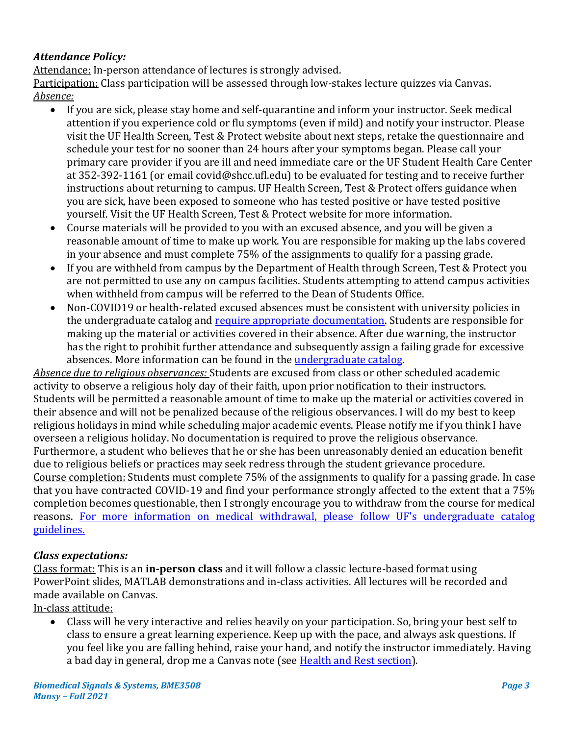# *Attendance Policy:*

Attendance: In-person attendance of lectures is strongly advised.

Participation: Class participation will be assessed through low-stakes lecture quizzes via Canvas. *Absence:*

- If you are sick, please stay home and self-quarantine and inform your instructor. Seek medical attention if you experience cold or flu symptoms (even if mild) and notify your instructor. Please visit the UF Health Screen, Test & Protect website about next steps, retake the questionnaire and schedule your test for no sooner than 24 hours after your symptoms began. Please call your primary care provider if you are ill and need immediate care or the UF Student Health Care Center at 352-392-1161 (or email covid@shcc.ufl.edu) to be evaluated for testing and to receive further instructions about returning to campus. UF Health Screen, Test & Protect offers guidance when you are sick, have been exposed to someone who has tested positive or have tested positive yourself. Visit the UF Health Screen, Test & Protect website for more information.
- Course materials will be provided to you with an excused absence, and you will be given a reasonable amount of time to make up work. You are responsible for making up the labs covered in your absence and must complete 75% of the assignments to qualify for a passing grade.
- If you are withheld from campus by the Department of Health through Screen, Test & Protect you are not permitted to use any on campus facilities. Students attempting to attend campus activities when withheld from campus will be referred to the Dean of Students Office.
- Non-COVID19 or health-related excused absences must be consistent with university policies in the undergraduate catalog and [require appropriate documentation.](https://www.eng.ufl.edu/wp-content/uploads/sites/5/2014/06/UF-COLLEGE-OF-ENGINEERING-EXCUSED-ABSENCE-REQUEST.pdf) Students are responsible for making up the material or activities covered in their absence. After due warning, the instructor has the right to prohibit further attendance and subsequently assign a failing grade for excessive absences. More information can be found in the [undergraduate catalog.](https://catalog.ufl.edu/ugrad/current/regulations/info/attendance.aspx)

*Absence due to religious observances:* Students are excused from class or other scheduled academic activity to observe a religious holy day of their faith, upon prior notification to their instructors. Students will be permitted a reasonable amount of time to make up the material or activities covered in their absence and will not be penalized because of the religious observances. I will do my best to keep religious holidays in mind while scheduling major academic events. Please notify me if you think I have overseen a religious holiday. No documentation is required to prove the religious observance. Furthermore, a student who believes that he or she has been unreasonably denied an education benefit due to religious beliefs or practices may seek redress through the student grievance procedure. Course completion: Students must complete 75% of the assignments to qualify for a passing grade. In case that you have contracted COVID-19 and find your performance strongly affected to the extent that a 75% completion becomes questionable, then I strongly encourage you to withdraw from the course for medical reasons. [For more information on medical withdrawal, please follow UF's undergraduate catalog](https://catalog.ufl.edu/UGRD/academic-regulations/dropping-courses-withdrawals/#withdrawalstext)  [guidelines.](https://catalog.ufl.edu/UGRD/academic-regulations/dropping-courses-withdrawals/#withdrawalstext)

# *Class expectations:*

Class format: This is an **in-person class** and it will follow a classic lecture-based format using PowerPoint slides, MATLAB demonstrations and in-class activities. All lectures will be recorded and made available on Canvas.

In-class attitude:

• Class will be very interactive and relies heavily on your participation. So, bring your best self to class to ensure a great learning experience. Keep up with the pace, and always ask questions. If you feel like you are falling behind, raise your hand, and notify the instructor immediately. Having a bad day in general, drop me a Canvas note (see [Health and Rest section\)](#page-7-0).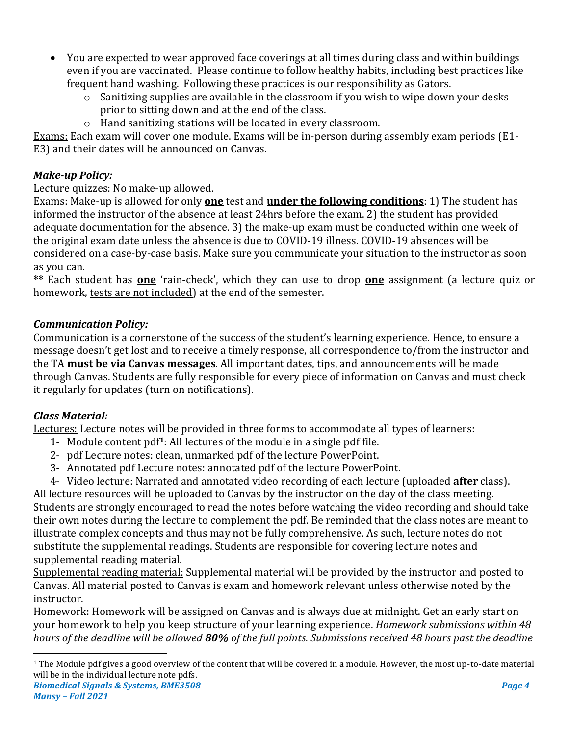- You are expected to wear approved face coverings at all times during class and within buildings even if you are vaccinated. Please continue to follow healthy habits, including best practices like frequent hand washing. Following these practices is our responsibility as Gators.
	- o Sanitizing supplies are available in the classroom if you wish to wipe down your desks prior to sitting down and at the end of the class.
	- o Hand sanitizing stations will be located in every classroom.

Exams: Each exam will cover one module. Exams will be in-person during assembly exam periods (E1- E3) and their dates will be announced on Canvas.

# *Make-up Policy:*

# Lecture quizzes: No make-up allowed.

Exams: Make-up is allowed for only **one** test and **under the following conditions**: 1) The student has informed the instructor of the absence at least 24hrs before the exam. 2) the student has provided adequate documentation for the absence. 3) the make-up exam must be conducted within one week of the original exam date unless the absence is due to COVID-19 illness. COVID-19 absences will be considered on a case-by-case basis. Make sure you communicate your situation to the instructor as soon as you can.

**\*\*** Each student has **one** 'rain-check', which they can use to drop **one** assignment (a lecture quiz or homework, tests are not included) at the end of the semester.

# *Communication Policy:*

Communication is a cornerstone of the success of the student's learning experience. Hence, to ensure a message doesn't get lost and to receive a timely response, all correspondence to/from the instructor and the TA **must be via Canvas messages**. All important dates, tips, and announcements will be made through Canvas. Students are fully responsible for every piece of information on Canvas and must check it regularly for updates (turn on notifications).

# *Class Material:*

Lectures: Lecture notes will be provided in three forms to accommodate all types of learners:

- 1- Module content pdf**1**: All lectures of the module in a single pdf file.
- 2- pdf Lecture notes: clean, unmarked pdf of the lecture PowerPoint.
- 3- Annotated pdf Lecture notes: annotated pdf of the lecture PowerPoint.
- 4- Video lecture: Narrated and annotated video recording of each lecture (uploaded **after** class).

All lecture resources will be uploaded to Canvas by the instructor on the day of the class meeting. Students are strongly encouraged to read the notes before watching the video recording and should take their own notes during the lecture to complement the pdf. Be reminded that the class notes are meant to illustrate complex concepts and thus may not be fully comprehensive. As such, lecture notes do not substitute the supplemental readings. Students are responsible for covering lecture notes and supplemental reading material.

Supplemental reading material: Supplemental material will be provided by the instructor and posted to Canvas. All material posted to Canvas is exam and homework relevant unless otherwise noted by the instructor.

Homework: Homework will be assigned on Canvas and is always due at midnight. Get an early start on your homework to help you keep structure of your learning experience. *Homework submissions within 48 hours of the deadline will be allowed 80% of the full points. Submissions received 48 hours past the deadline* 

*Biomedical Signals & Systems, BME3508 Page 4* <sup>1</sup> The Module pdf gives a good overview of the content that will be covered in a module. However, the most up-to-date material will be in the individual lecture note pdfs.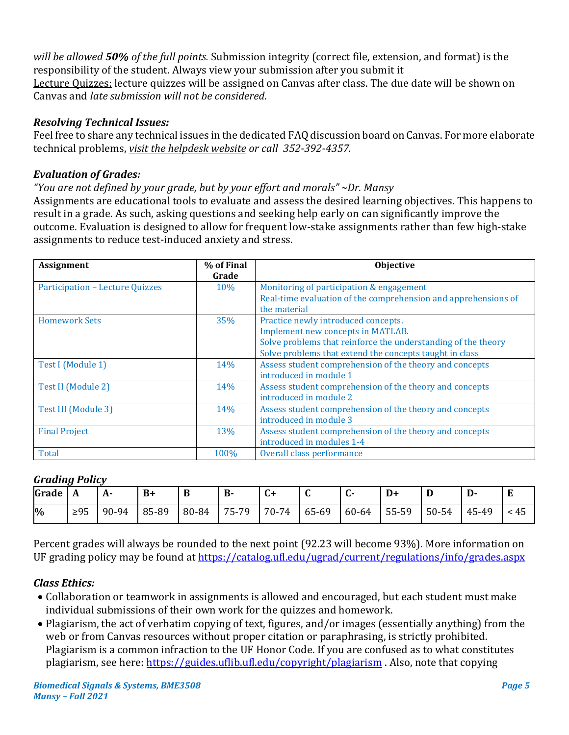*will be allowed 50% of the full points.* Submission integrity (correct file, extension, and format) is the responsibility of the student. Always view your submission after you submit it Lecture Quizzes: lecture quizzes will be assigned on Canvas after class. The due date will be shown on Canvas and *late submission will not be considered*.

# *Resolving Technical Issues:*

Feel free to share any technical issues in the dedicated FAQ discussion board on Canvas. For more elaborate technical problems, *[visit the helpdesk website](file:///C:/Users/lilyrlewis/AppData/Local/Microsoft/Windows/INetCache/Content.Outlook/LU96BFUU/helpdesk.ufl.edu) or call [3](http://helpdesk.ufl.edu/)52-392-4357.*

# *Evaluation of Grades:*

*"You are not defined by your grade, but by your effort and morals" ~Dr. Mansy*

Assignments are educational tools to evaluate and assess the desired learning objectives. This happens to result in a grade. As such, asking questions and seeking help early on can significantly improve the outcome. Evaluation is designed to allow for frequent low-stake assignments rather than few high-stake assignments to reduce test-induced anxiety and stress.

| Assignment                             | % of Final<br>Grade | Objective                                                                                                                                                                                            |
|----------------------------------------|---------------------|------------------------------------------------------------------------------------------------------------------------------------------------------------------------------------------------------|
| <b>Participation - Lecture Quizzes</b> | 10%                 | Monitoring of participation & engagement<br>Real-time evaluation of the comprehension and apprehensions of<br>the material                                                                           |
| <b>Homework Sets</b>                   | 35%                 | Practice newly introduced concepts.<br>Implement new concepts in MATLAB.<br>Solve problems that reinforce the understanding of the theory<br>Solve problems that extend the concepts taught in class |
| Test I (Module 1)                      | 14%                 | Assess student comprehension of the theory and concepts<br>introduced in module 1                                                                                                                    |
| Test II (Module 2)                     | 14%                 | Assess student comprehension of the theory and concepts<br>introduced in module 2                                                                                                                    |
| Test III (Module 3)                    | 14%                 | Assess student comprehension of the theory and concepts<br>introduced in module 3                                                                                                                    |
| <b>Final Project</b>                   | 13%                 | Assess student comprehension of the theory and concepts<br>introduced in modules 1-4                                                                                                                 |
| Total                                  | 100%                | Overall class performance                                                                                                                                                                            |

# *Grading Policy*

| Grade | A         | A·    | $B+$  | D     | D.    | ີ     |       |       |       |       | ij.   |    |
|-------|-----------|-------|-------|-------|-------|-------|-------|-------|-------|-------|-------|----|
| $\%$  | $\geq 95$ | 90-94 | 85-89 | 80-84 | 75-79 | 70-74 | 65-69 | 60-64 | 55-59 | 50-54 | 45-49 | 45 |

Percent grades will always be rounded to the next point (92.23 will become 93%). More information on UF grading policy may be found at <https://catalog.ufl.edu/ugrad/current/regulations/info/grades.aspx>

# *Class Ethics:*

- Collaboration or teamwork in assignments is allowed and encouraged, but each student must make individual submissions of their own work for the quizzes and homework.
- Plagiarism, the act of verbatim copying of text, figures, and/or images (essentially anything) from the web or from Canvas resources without proper citation or paraphrasing, is strictly prohibited. Plagiarism is a common infraction to the UF Honor Code. If you are confused as to what constitutes plagiarism, see here[: https://guides.uflib.ufl.edu/copyright/plagiarism](https://guides.uflib.ufl.edu/copyright/plagiarism) . Also, note that copying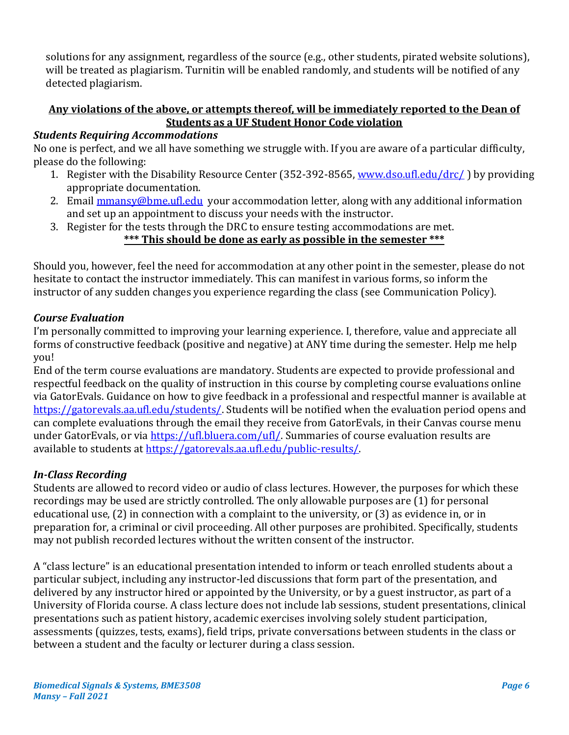solutions for any assignment, regardless of the source (e.g., other students, pirated website solutions), will be treated as plagiarism. Turnitin will be enabled randomly, and students will be notified of any detected plagiarism.

# **Any violations of the above, or attempts thereof, will be immediately reported to the Dean of Students as a UF Student Honor Code violation**

# *Students Requiring Accommodations*

No one is perfect, and we all have something we struggle with. If you are aware of a particular difficulty, please do the following:

- 1. Register with the Disability Resource Center (352-392-8565, [www.dso.ufl.edu/drc/](http://www.dso.ufl.edu/drc/) ) by providing appropriate documentation.
- 2. Email **mmansy@bme.ufl.edu** your accommodation letter, along with any additional information and set up an appointment to discuss your needs with the instructor.
- 3. Register for the tests through the DRC to ensure testing accommodations are met. **\*\*\* This should be done as early as possible in the semester \*\*\***

Should you, however, feel the need for accommodation at any other point in the semester, please do not hesitate to contact the instructor immediately. This can manifest in various forms, so inform the instructor of any sudden changes you experience regarding the class (see Communication Policy).

## *Course Evaluation*

I'm personally committed to improving your learning experience. I, therefore, value and appreciate all forms of constructive feedback (positive and negative) at ANY time during the semester. Help me help you!

End of the term course evaluations are mandatory. Students are expected to provide professional and respectful feedback on the quality of instruction in this course by completing course evaluations online via GatorEvals. Guidance on how to give feedback in a professional and respectful manner is available at [https://gatorevals.aa.ufl.edu/students/.](https://gatorevals.aa.ufl.edu/students/) Students will be notified when the evaluation period opens and can complete evaluations through the email they receive from GatorEvals, in their Canvas course menu under GatorEvals, or via [https://ufl.bluera.com/ufl/.](https://ufl.bluera.com/ufl/) Summaries of course evaluation results are available to students at https://gatorevals.aa.ufl.edu/public-results/

## *In-Class Recording*

Students are allowed to record video or audio of class lectures. However, the purposes for which these recordings may be used are strictly controlled. The only allowable purposes are (1) for personal educational use, (2) in connection with a complaint to the university, or (3) as evidence in, or in preparation for, a criminal or civil proceeding. All other purposes are prohibited. Specifically, students may not publish recorded lectures without the written consent of the instructor.

A "class lecture" is an educational presentation intended to inform or teach enrolled students about a particular subject, including any instructor-led discussions that form part of the presentation, and delivered by any instructor hired or appointed by the University, or by a guest instructor, as part of a University of Florida course. A class lecture does not include lab sessions, student presentations, clinical presentations such as patient history, academic exercises involving solely student participation, assessments (quizzes, tests, exams), field trips, private conversations between students in the class or between a student and the faculty or lecturer during a class session.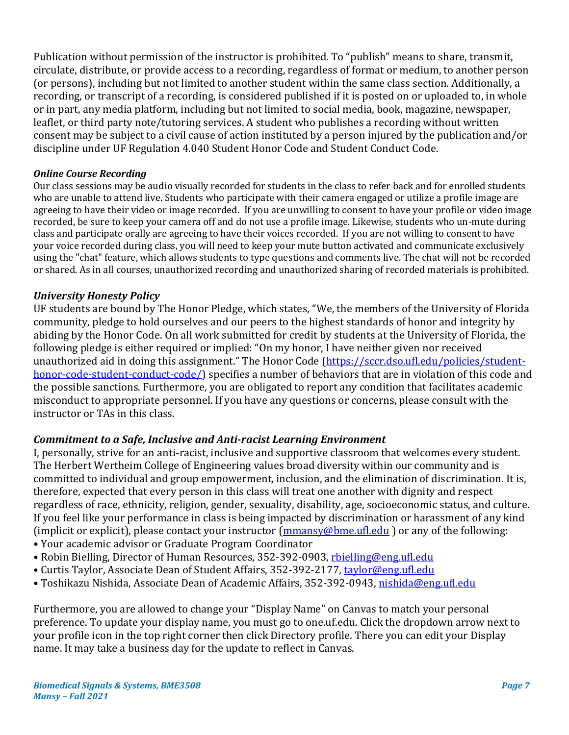Publication without permission of the instructor is prohibited. To "publish" means to share, transmit, circulate, distribute, or provide access to a recording, regardless of format or medium, to another person (or persons), including but not limited to another student within the same class section. Additionally, a recording, or transcript of a recording, is considered published if it is posted on or uploaded to, in whole or in part, any media platform, including but not limited to social media, book, magazine, newspaper, leaflet, or third party note/tutoring services. A student who publishes a recording without written consent may be subject to a civil cause of action instituted by a person injured by the publication and/or discipline under UF Regulation 4.040 Student Honor Code and Student Conduct Code.

#### *Online Course Recording*

Our class sessions may be audio visually recorded for students in the class to refer back and for enrolled students who are unable to attend live. Students who participate with their camera engaged or utilize a profile image are agreeing to have their video or image recorded. If you are unwilling to consent to have your profile or video image recorded, be sure to keep your camera off and do not use a profile image. Likewise, students who un-mute during class and participate orally are agreeing to have their voices recorded. If you are not willing to consent to have your voice recorded during class, you will need to keep your mute button activated and communicate exclusively using the "chat" feature, which allows students to type questions and comments live. The chat will not be recorded or shared. As in all courses, unauthorized recording and unauthorized sharing of recorded materials is prohibited.

#### *University Honesty Policy*

UF students are bound by The Honor Pledge, which states, "We, the members of the University of Florida community, pledge to hold ourselves and our peers to the highest standards of honor and integrity by abiding by the Honor Code. On all work submitted for credit by students at the University of Florida, the following pledge is either required or implied: "On my honor, I have neither given nor received unauthorized aid in doing this assignment." The Honor Code ([https://sccr.dso.ufl.edu/policies/student](https://sccr.dso.ufl.edu/policies/student-honor-code-student-conduct-code/)[honor-code-student-conduct-code/\)](https://sccr.dso.ufl.edu/policies/student-honor-code-student-conduct-code/) specifies a number of behaviors that are in violation of this code and the possible sanctions. Furthermore, you are obligated to report any condition that facilitates academic misconduct to appropriate personnel. If you have any questions or concerns, please consult with the instructor or TAs in this class.

## *Commitment to a Safe, Inclusive and Anti-racist Learning Environment*

I, personally, strive for an anti-racist, inclusive and supportive classroom that welcomes every student. The Herbert Wertheim College of Engineering values broad diversity within our community and is committed to individual and group empowerment, inclusion, and the elimination of discrimination. It is, therefore, expected that every person in this class will treat one another with dignity and respect regardless of race, ethnicity, religion, gender, sexuality, disability, age, socioeconomic status, and culture. If you feel like your performance in class is being impacted by discrimination or harassment of any kind (implicit or explicit), please contact your instructor  $(\underline{mmansv@bme.ufl.edu})$  or any of the following:

- Your academic advisor or Graduate Program Coordinator
- Robin Bielling, Director of Human Resources, 352-392-0903, [rbielling@eng.ufl.edu](mailto:rbielling@eng.ufl.edu)
- Curtis Taylor, Associate Dean of Student Affairs, 352-392-2177, [taylor@eng.ufl.edu](mailto:taylor@eng.ufl.edu)
- Toshikazu Nishida, Associate Dean of Academic Affairs, 352-392-0943, [nishida@eng.ufl.edu](mailto:nishida@eng.ufl.edu)

Furthermore, you are allowed to change your "Display Name" on Canvas to match your personal preference. To update your display name, you must go to one.uf.edu. Click the dropdown arrow next to your profile icon in the top right corner then click Directory profile. There you can edit your Display name. It may take a business day for the update to reflect in Canvas.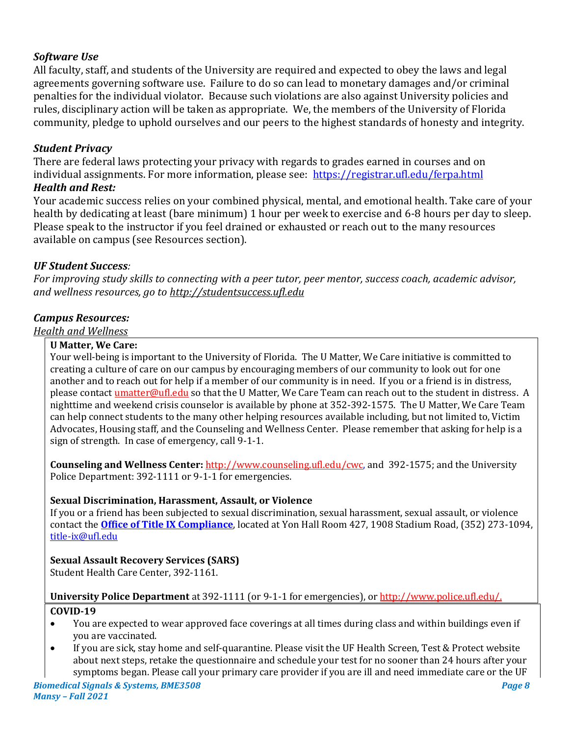# *Software Use*

All faculty, staff, and students of the University are required and expected to obey the laws and legal agreements governing software use. Failure to do so can lead to monetary damages and/or criminal penalties for the individual violator. Because such violations are also against University policies and rules, disciplinary action will be taken as appropriate. We, the members of the University of Florida community, pledge to uphold ourselves and our peers to the highest standards of honesty and integrity.

# *Student Privacy*

There are federal laws protecting your privacy with regards to grades earned in courses and on individual assignments. For more information, please see:<https://registrar.ufl.edu/ferpa.html> *Health and Rest:*

<span id="page-7-0"></span>Your academic success relies on your combined physical, mental, and emotional health. Take care of your health by dedicating at least (bare minimum) 1 hour per week to exercise and 6-8 hours per day to sleep. Please speak to the instructor if you feel drained or exhausted or reach out to the many resources available on campus (see Resources section).

# *UF Student Success:*

*For improving study skills to connecting with a peer tutor, peer mentor, success coach, academic advisor, and wellness resources, go to [http://studentsuccess.ufl.edu](https://urldefense.proofpoint.com/v2/url?u=https-3A__ufl.us5.list-2Dmanage.com_track_click-3Fu-3Dccfd4b5b015e3d33e136cc335-26id-3D6eaa932b46-26e-3D272c0fe5cb&d=DwMFaQ&c=sJ6xIWYx-zLMB3EPkvcnVg&r=rUzEig7po-wDCAfT0Hd6bCm0Suz4AdruzQ4eDAUwGsg&m=xUClKFoM4EQFp9uT5AdQrhR41FhQnCzXI2PrLvvCcNM&s=xEU1AQ2aU4SZBiHpUnY0J7r3caKEvX54RIRgNGVNOrk&e=)*

# *Campus Resources:*

## *Health and Wellness*

#### **U Matter, We Care:**

Your well-being is important to the University of Florida. The U Matter, We Care initiative is committed to creating a culture of care on our campus by encouraging members of our community to look out for one another and to reach out for help if a member of our community is in need. If you or a friend is in distress, please contact *umatter@ufl.edu* so that the U Matter, We Care Team can reach out to the student in distress. A nighttime and weekend crisis counselor is available by phone at 352-392-1575. The U Matter, We Care Team can help connect students to the many other helping resources available including, but not limited to, Victim Advocates, Housing staff, and the Counseling and Wellness Center. Please remember that asking for help is a sign of strength. In case of emergency, call 9-1-1.

**Counseling and Wellness Center:** [http://www.counseling.ufl.edu/cwc,](http://www.counseling.ufl.edu/cwc) and 392-1575; and the University Police Department: 392-1111 or 9-1-1 for emergencies.

## **Sexual Discrimination, Harassment, Assault, or Violence**

If you or a friend has been subjected to sexual discrimination, sexual harassment, sexual assault, or violence contact the **[Office of Title IX Compliance](https://titleix.ufl.edu/)**, located at Yon Hall Room 427, 1908 Stadium Road, (352) 273-1094, [title-ix@ufl.edu](mailto:title-ix@ufl.edu)

## **Sexual Assault Recovery Services (SARS)**

Student Health Care Center, 392-1161.

## **University Police Department** at 392-1111 (or 9-1-1 for emergencies), o[r http://www.police.ufl.edu/.](http://www.police.ufl.edu/) **COVID-19**

- You are expected to wear approved face coverings at all times during class and within buildings even if you are vaccinated.
- If you are sick, stay home and self-quarantine. Please visit the UF Health Screen, Test & Protect website about next steps, retake the questionnaire and schedule your test for no sooner than 24 hours after your symptoms began. Please call your primary care provider if you are ill and need immediate care or the UF